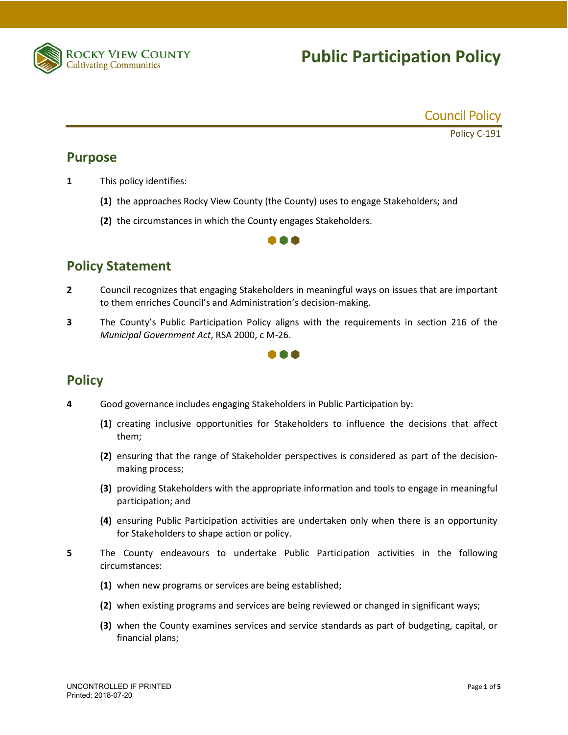

# **Public Participation Policy**



Policy C-191

#### **Purpose**

- **1** This policy identifies:
	- **(1)** the approaches Rocky View County (the County) uses to engage Stakeholders; and
	- **(2)** the circumstances in which the County engages Stakeholders.



### **Policy Statement**

- **2** Council recognizes that engaging Stakeholders in meaningful ways on issues that are important to them enriches Council's and Administration's decision-making.
- **3** The County's Public Participation Policy aligns with the requirements in section 216 of the *Municipal Government Act*, RSA 2000, c M-26.



### **Policy**

- **4** Good governance includes engaging Stakeholders in Public Participation by:
	- **(1)** creating inclusive opportunities for Stakeholders to influence the decisions that affect them;
	- **(2)** ensuring that the range of Stakeholder perspectives is considered as part of the decisionmaking process;
	- **(3)** providing Stakeholders with the appropriate information and tools to engage in meaningful participation; and
	- **(4)** ensuring Public Participation activities are undertaken only when there is an opportunity for Stakeholders to shape action or policy.
- **5** The County endeavours to undertake Public Participation activities in the following circumstances:
	- **(1)** when new programs or services are being established;
	- **(2)** when existing programs and services are being reviewed or changed in significant ways;
	- **(3)** when the County examines services and service standards as part of budgeting, capital, or financial plans;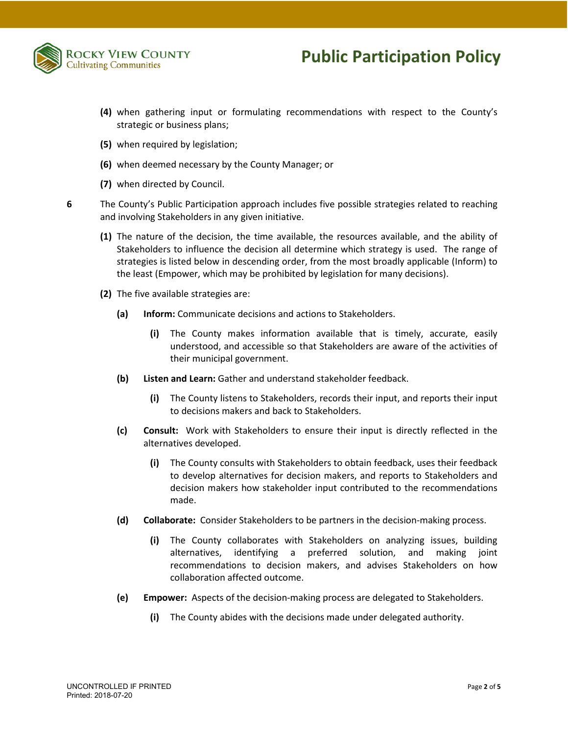

## **Public Participation Policy**

- **(4)** when gathering input or formulating recommendations with respect to the County's strategic or business plans;
- **(5)** when required by legislation;
- **(6)** when deemed necessary by the County Manager; or
- **(7)** when directed by Council.
- **6** The County's Public Participation approach includes five possible strategies related to reaching and involving Stakeholders in any given initiative.
	- **(1)** The nature of the decision, the time available, the resources available, and the ability of Stakeholders to influence the decision all determine which strategy is used. The range of strategies is listed below in descending order, from the most broadly applicable (Inform) to the least (Empower, which may be prohibited by legislation for many decisions).
	- **(2)** The five available strategies are:
		- **(a) Inform:** Communicate decisions and actions to Stakeholders.
			- **(i)** The County makes information available that is timely, accurate, easily understood, and accessible so that Stakeholders are aware of the activities of their municipal government.
		- **(b) Listen and Learn:** Gather and understand stakeholder feedback.
			- **(i)** The County listens to Stakeholders, records their input, and reports their input to decisions makers and back to Stakeholders.
		- **(c) Consult:** Work with Stakeholders to ensure their input is directly reflected in the alternatives developed.
			- **(i)** The County consults with Stakeholders to obtain feedback, uses their feedback to develop alternatives for decision makers, and reports to Stakeholders and decision makers how stakeholder input contributed to the recommendations made.
		- **(d) Collaborate:** Consider Stakeholders to be partners in the decision-making process.
			- **(i)** The County collaborates with Stakeholders on analyzing issues, building alternatives, identifying a preferred solution, and making joint recommendations to decision makers, and advises Stakeholders on how collaboration affected outcome.
		- **(e) Empower:** Aspects of the decision-making process are delegated to Stakeholders.
			- **(i)** The County abides with the decisions made under delegated authority.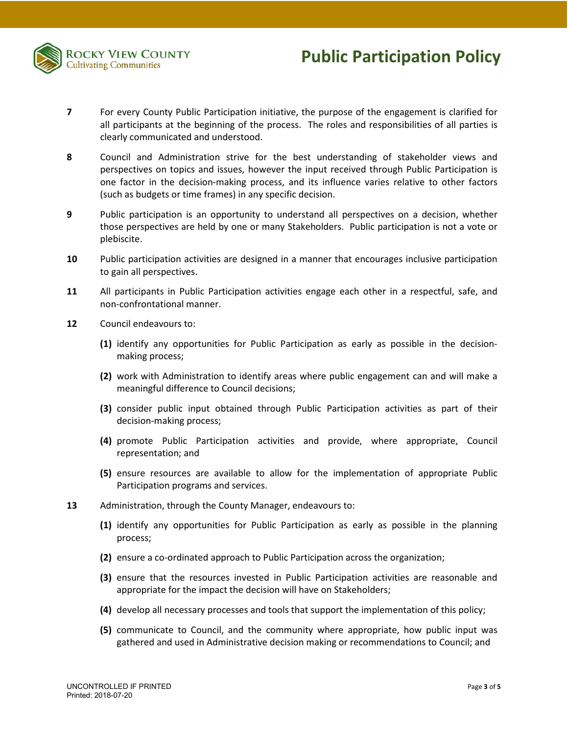

- **7** For every County Public Participation initiative, the purpose of the engagement is clarified for all participants at the beginning of the process. The roles and responsibilities of all parties is clearly communicated and understood.
- **8** Council and Administration strive for the best understanding of stakeholder views and perspectives on topics and issues, however the input received through Public Participation is one factor in the decision-making process, and its influence varies relative to other factors (such as budgets or time frames) in any specific decision.
- **9** Public participation is an opportunity to understand all perspectives on a decision, whether those perspectives are held by one or many Stakeholders. Public participation is not a vote or plebiscite.
- **10** Public participation activities are designed in a manner that encourages inclusive participation to gain all perspectives.
- **11** All participants in Public Participation activities engage each other in a respectful, safe, and non-confrontational manner.
- **12** Council endeavours to:
	- **(1)** identify any opportunities for Public Participation as early as possible in the decisionmaking process;
	- **(2)** work with Administration to identify areas where public engagement can and will make a meaningful difference to Council decisions;
	- **(3)** consider public input obtained through Public Participation activities as part of their decision-making process;
	- **(4)** promote Public Participation activities and provide, where appropriate, Council representation; and
	- **(5)** ensure resources are available to allow for the implementation of appropriate Public Participation programs and services.
- **13** Administration, through the County Manager, endeavours to:
	- **(1)** identify any opportunities for Public Participation as early as possible in the planning process;
	- **(2)** ensure a co-ordinated approach to Public Participation across the organization;
	- **(3)** ensure that the resources invested in Public Participation activities are reasonable and appropriate for the impact the decision will have on Stakeholders;
	- **(4)** develop all necessary processes and tools that support the implementation of this policy;
	- **(5)** communicate to Council, and the community where appropriate, how public input was gathered and used in Administrative decision making or recommendations to Council; and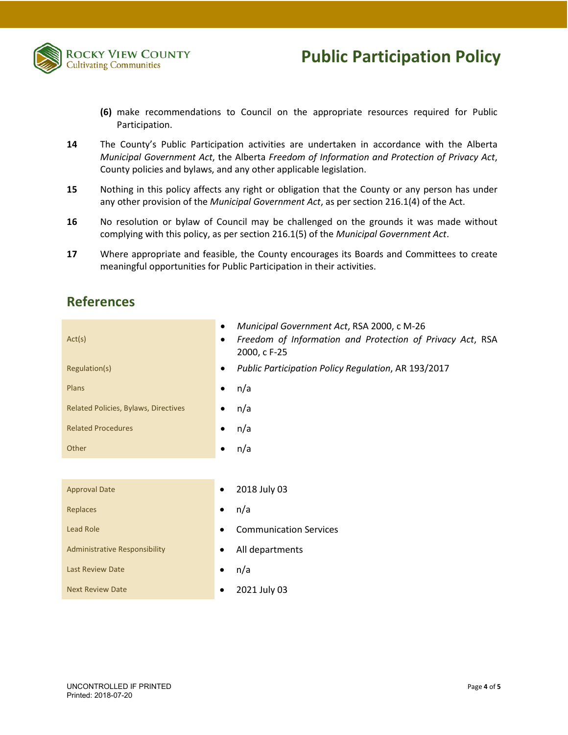

- **(6)** make recommendations to Council on the appropriate resources required for Public Participation.
- **14** The County's Public Participation activities are undertaken in accordance with the Alberta *Municipal Government Act*, the Alberta *Freedom of Information and Protection of Privacy Act*, County policies and bylaws, and any other applicable legislation.
- **15** Nothing in this policy affects any right or obligation that the County or any person has under any other provision of the *Municipal Government Act*, as per section 216.1(4) of the Act.
- **16** No resolution or bylaw of Council may be challenged on the grounds it was made without complying with this policy, as per section 216.1(5) of the *Municipal Government Act*.
- **17** Where appropriate and feasible, the County encourages its Boards and Committees to create meaningful opportunities for Public Participation in their activities.

### **References**

| Act(s)                               | Municipal Government Act, RSA 2000, c M-26<br>٠<br>Freedom of Information and Protection of Privacy Act, RSA<br>٠<br>2000, c F-25 |
|--------------------------------------|-----------------------------------------------------------------------------------------------------------------------------------|
| Regulation(s)                        | Public Participation Policy Regulation, AR 193/2017<br>٠                                                                          |
| Plans                                | n/a<br>٠                                                                                                                          |
| Related Policies, Bylaws, Directives | n/a<br>٠                                                                                                                          |
| <b>Related Procedures</b>            | n/a<br>٠                                                                                                                          |
| Other                                | n/a<br>٠                                                                                                                          |
|                                      |                                                                                                                                   |
| <b>Approval Date</b>                 | 2018 July 03                                                                                                                      |
| Replaces                             | n/a<br>٠                                                                                                                          |
| <b>Lead Role</b>                     | <b>Communication Services</b>                                                                                                     |
| Administrative Responsibility        | All departments                                                                                                                   |
| <b>Last Review Date</b>              | n/a                                                                                                                               |
| <b>Next Review Date</b>              | 2021 July 03                                                                                                                      |